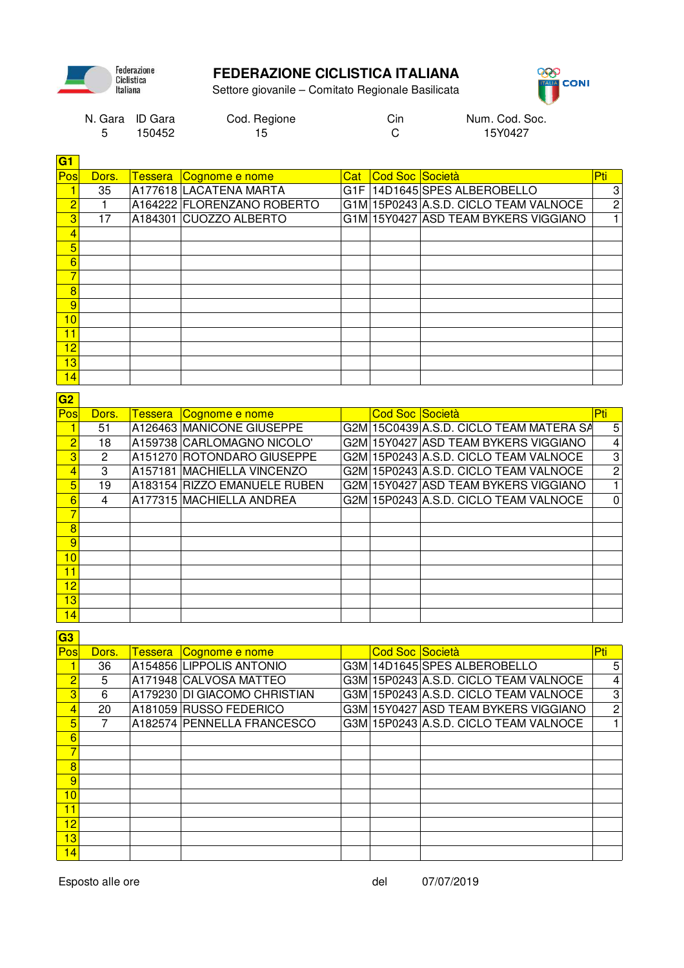

## **FEDERAZIONE CICLISTICA ITALIANA**





| N. Gara ID Gara | Cod. Regione | Cin | Num. Cod. Soc. |
|-----------------|--------------|-----|----------------|
| 150452          | 15.          |     | 15Y0427        |

| G1                               |                                  |                                                     |       |                 |                                                                               |                                  |
|----------------------------------|----------------------------------|-----------------------------------------------------|-------|-----------------|-------------------------------------------------------------------------------|----------------------------------|
| Pos                              | Dors.                            | Tessera Cognome e nome                              | Cat : | Cod Soc Società |                                                                               | Pti.                             |
| 1                                | 35                               | A177618 LACATENA MARTA                              |       |                 | G1F 14D1645 SPES ALBEROBELLO                                                  | 3                                |
| $\overline{2}$                   | 1                                | A164222 FLORENZANO ROBERTO                          |       |                 | G1M 15P0243 A.S.D. CICLO TEAM VALNOCE                                         | $\sqrt{2}$                       |
| $\overline{3}$                   | 17                               | A184301 CUOZZO ALBERTO                              |       |                 | G1M 15Y0427 ASD TEAM BYKERS VIGGIANO                                          | $\mathbf{1}$                     |
| $\overline{4}$                   |                                  |                                                     |       |                 |                                                                               |                                  |
| $\overline{5}$                   |                                  |                                                     |       |                 |                                                                               |                                  |
| $6\overline{6}$                  |                                  |                                                     |       |                 |                                                                               |                                  |
| $\overline{7}$                   |                                  |                                                     |       |                 |                                                                               |                                  |
| $\overline{8}$                   |                                  |                                                     |       |                 |                                                                               |                                  |
| 9                                |                                  |                                                     |       |                 |                                                                               |                                  |
| 10                               |                                  |                                                     |       |                 |                                                                               |                                  |
| 11                               |                                  |                                                     |       |                 |                                                                               |                                  |
| 12                               |                                  |                                                     |       |                 |                                                                               |                                  |
| $\overline{13}$                  |                                  |                                                     |       |                 |                                                                               |                                  |
| 14                               |                                  |                                                     |       |                 |                                                                               |                                  |
|                                  |                                  |                                                     |       |                 |                                                                               |                                  |
| G2<br>Pos                        |                                  |                                                     |       | Cod Soc Società |                                                                               | Pti                              |
| 1                                | Dors.<br>51                      | Tessera Cognome e nome<br>A126463 MANICONE GIUSEPPE |       |                 | G2M 15C0439 A.S.D. CICLO TEAM MATERA SA                                       |                                  |
| $\overline{2}$                   | 18                               | A159738 CARLOMAGNO NICOLO'                          |       |                 | G2M 15Y0427 ASD TEAM BYKERS VIGGIANO                                          | 5<br>$\overline{4}$              |
|                                  |                                  |                                                     |       |                 |                                                                               |                                  |
| $\overline{3}$<br>$\overline{4}$ | $\overline{2}$<br>$\overline{3}$ | A151270 ROTONDARO GIUSEPPE                          |       |                 | G2M 15P0243 A.S.D. CICLO TEAM VALNOCE                                         | $\overline{3}$<br>$\overline{2}$ |
|                                  | $\overline{19}$                  | A157181 MACHIELLA VINCENZO                          |       |                 | G2M 15P0243 A.S.D. CICLO TEAM VALNOCE<br>G2M 15Y0427 ASD TEAM BYKERS VIGGIANO | $\overline{1}$                   |
| 5                                |                                  | A183154 RIZZO EMANUELE RUBEN                        |       |                 |                                                                               |                                  |
| $6\overline{6}$                  | 4                                | A177315 MACHIELLA ANDREA                            |       |                 | G2M 15P0243 A.S.D. CICLO TEAM VALNOCE                                         | 0                                |
| $\overline{7}$                   |                                  |                                                     |       |                 |                                                                               |                                  |
| $\overline{8}$                   |                                  |                                                     |       |                 |                                                                               |                                  |
|                                  |                                  |                                                     |       |                 |                                                                               |                                  |
| $\overline{9}$                   |                                  |                                                     |       |                 |                                                                               |                                  |
| 10                               |                                  |                                                     |       |                 |                                                                               |                                  |
| 11                               |                                  |                                                     |       |                 |                                                                               |                                  |
| $\overline{12}$<br>13            |                                  |                                                     |       |                 |                                                                               |                                  |

**G3**

14

| <u>up</u>       |       |                |                              |                 |                                       |                |
|-----------------|-------|----------------|------------------------------|-----------------|---------------------------------------|----------------|
| Pos             | Dors. | <b>Tessera</b> | Cognome e nome               | Cod Soc Società |                                       | Pti            |
|                 | 36    |                | A154856 LIPPOLIS ANTONIO     |                 | G3M 14D1645 SPES ALBEROBELLO          | 5              |
| $\overline{2}$  | 5     |                | A171948 CALVOSA MATTEO       |                 | G3M 15P0243 A.S.D. CICLO TEAM VALNOCE | $\overline{4}$ |
| 3               | 6     |                | A179230 DI GIACOMO CHRISTIAN |                 | G3M 15P0243 A.S.D. CICLO TEAM VALNOCE | 3              |
| 4               | 20    |                | A181059 RUSSO FEDERICO       |                 | G3M 15Y0427 ASD TEAM BYKERS VIGGIANO  | $\overline{c}$ |
| 5               | 7     |                | A182574 PENNELLA FRANCESCO   |                 | G3M 15P0243 A.S.D. CICLO TEAM VALNOCE |                |
| $6\overline{6}$ |       |                |                              |                 |                                       |                |
| 7               |       |                |                              |                 |                                       |                |
| 8               |       |                |                              |                 |                                       |                |
| 9               |       |                |                              |                 |                                       |                |
| 10 <sub>1</sub> |       |                |                              |                 |                                       |                |
| 11              |       |                |                              |                 |                                       |                |
| 12              |       |                |                              |                 |                                       |                |
| 13              |       |                |                              |                 |                                       |                |
| 14              |       |                |                              |                 |                                       |                |